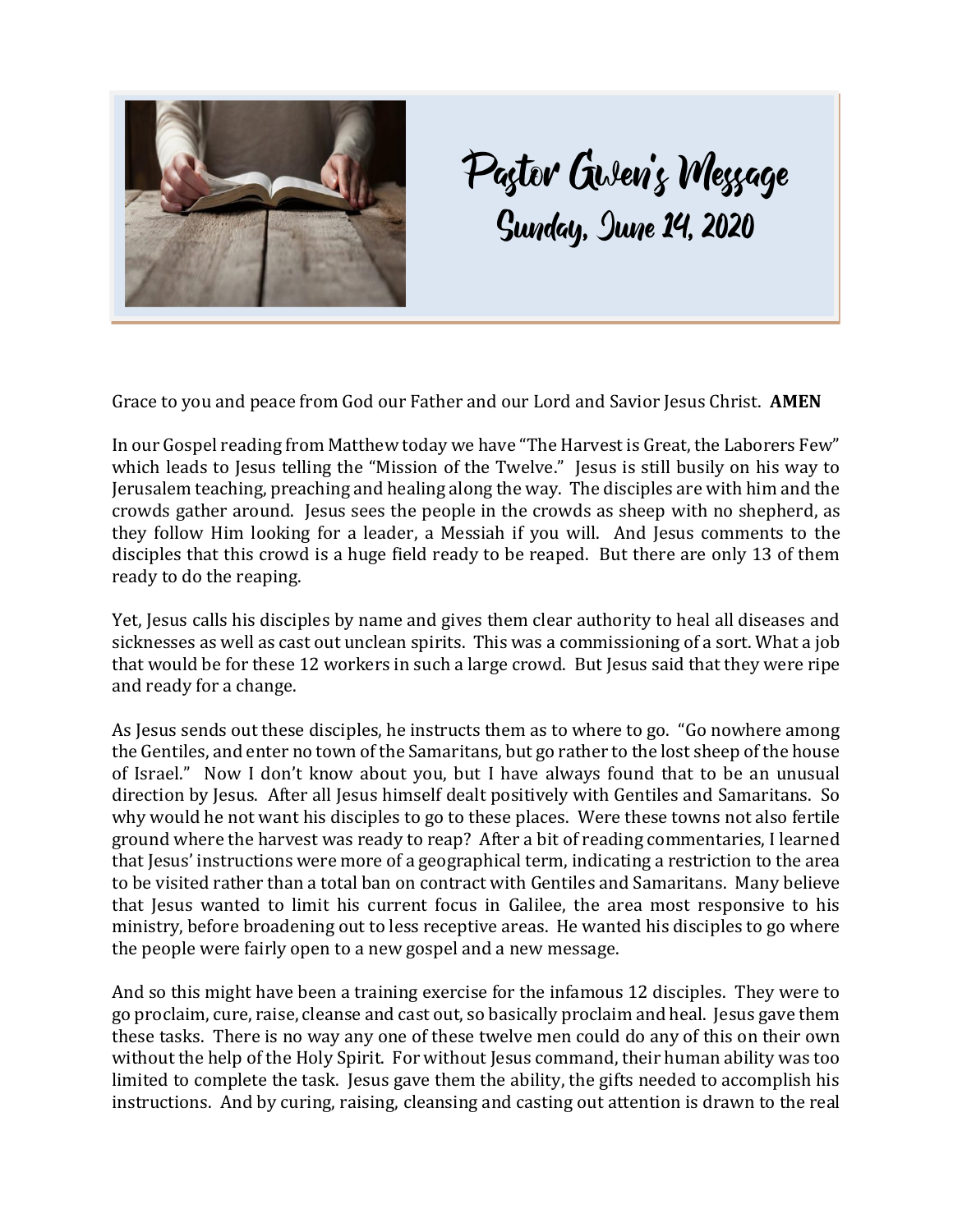

## Paztor Gislen's Wessage<br>Sunday, June 14, 2020

Grace to you and peace from God our Father and our Lord and Savior Jesus Christ. **AMEN**

In our Gospel reading from Matthew today we have "The Harvest is Great, the Laborers Few" which leads to Jesus telling the "Mission of the Twelve." Jesus is still busily on his way to Jerusalem teaching, preaching and healing along the way. The disciples are with him and the crowds gather around. Jesus sees the people in the crowds as sheep with no shepherd, as they follow Him looking for a leader, a Messiah if you will. And Jesus comments to the disciples that this crowd is a huge field ready to be reaped. But there are only 13 of them ready to do the reaping.

Yet, Jesus calls his disciples by name and gives them clear authority to heal all diseases and sicknesses as well as cast out unclean spirits. This was a commissioning of a sort. What a job that would be for these 12 workers in such a large crowd. But Jesus said that they were ripe and ready for a change.

As Jesus sends out these disciples, he instructs them as to where to go. "Go nowhere among the Gentiles, and enter no town of the Samaritans, but go rather to the lost sheep of the house of Israel." Now I don't know about you, but I have always found that to be an unusual direction by Jesus. After all Jesus himself dealt positively with Gentiles and Samaritans. So why would he not want his disciples to go to these places. Were these towns not also fertile ground where the harvest was ready to reap? After a bit of reading commentaries, I learned that Jesus' instructions were more of a geographical term, indicating a restriction to the area to be visited rather than a total ban on contract with Gentiles and Samaritans. Many believe that Jesus wanted to limit his current focus in Galilee, the area most responsive to his ministry, before broadening out to less receptive areas. He wanted his disciples to go where the people were fairly open to a new gospel and a new message.

And so this might have been a training exercise for the infamous 12 disciples. They were to go proclaim, cure, raise, cleanse and cast out, so basically proclaim and heal. Jesus gave them these tasks. There is no way any one of these twelve men could do any of this on their own without the help of the Holy Spirit. For without Jesus command, their human ability was too limited to complete the task. Jesus gave them the ability, the gifts needed to accomplish his instructions. And by curing, raising, cleansing and casting out attention is drawn to the real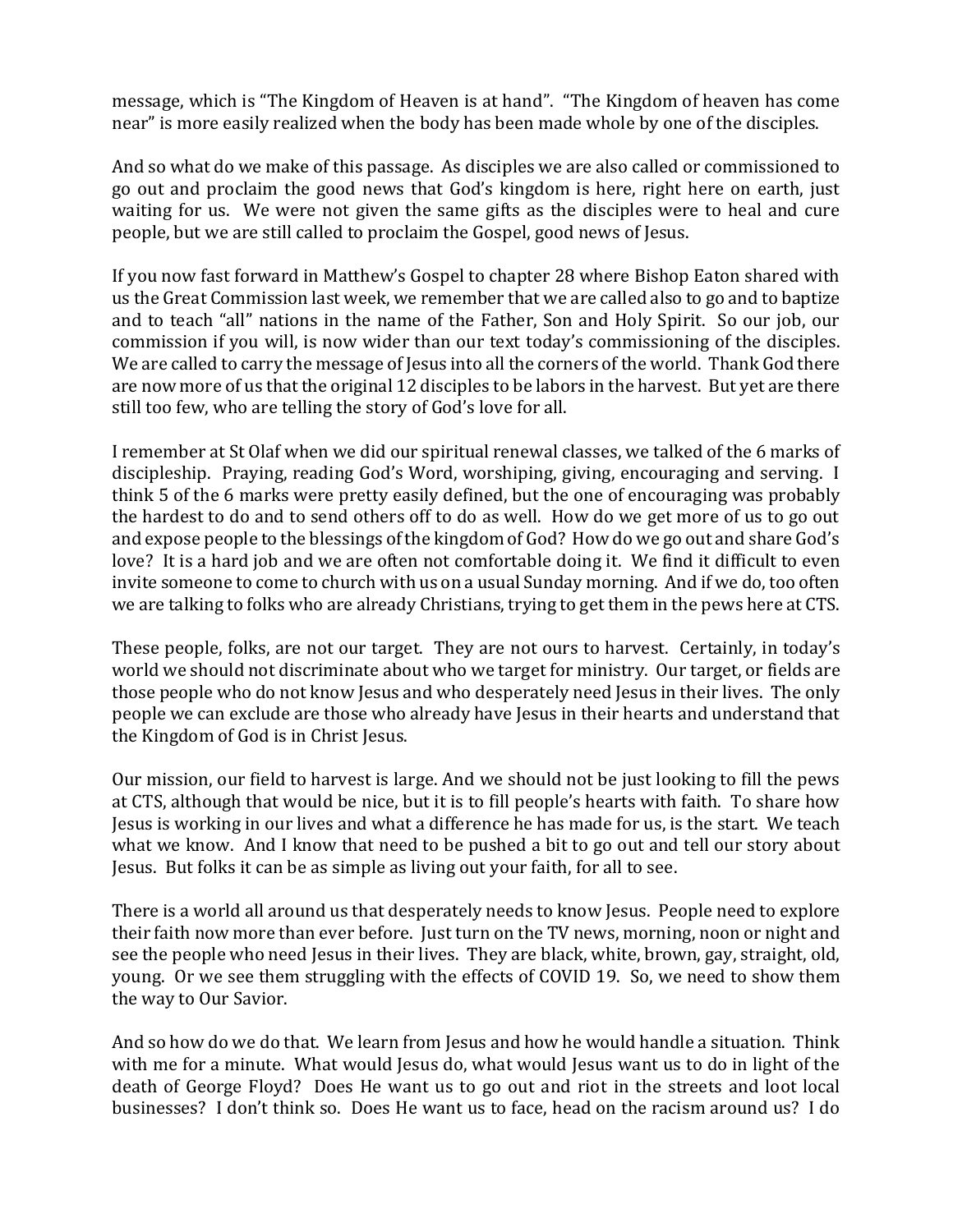message, which is "The Kingdom of Heaven is at hand". "The Kingdom of heaven has come near" is more easily realized when the body has been made whole by one of the disciples.

And so what do we make of this passage. As disciples we are also called or commissioned to go out and proclaim the good news that God's kingdom is here, right here on earth, just waiting for us. We were not given the same gifts as the disciples were to heal and cure people, but we are still called to proclaim the Gospel, good news of Jesus.

If you now fast forward in Matthew's Gospel to chapter 28 where Bishop Eaton shared with us the Great Commission last week, we remember that we are called also to go and to baptize and to teach "all" nations in the name of the Father, Son and Holy Spirit. So our job, our commission if you will, is now wider than our text today's commissioning of the disciples. We are called to carry the message of Jesus into all the corners of the world. Thank God there are now more of us that the original 12 disciples to be labors in the harvest. But yet are there still too few, who are telling the story of God's love for all.

I remember at St Olaf when we did our spiritual renewal classes, we talked of the 6 marks of discipleship. Praying, reading God's Word, worshiping, giving, encouraging and serving. I think 5 of the 6 marks were pretty easily defined, but the one of encouraging was probably the hardest to do and to send others off to do as well. How do we get more of us to go out and expose people to the blessings of the kingdom of God? How do we go out and share God's love? It is a hard job and we are often not comfortable doing it. We find it difficult to even invite someone to come to church with us on a usual Sunday morning. And if we do, too often we are talking to folks who are already Christians, trying to get them in the pews here at CTS.

These people, folks, are not our target. They are not ours to harvest. Certainly, in today's world we should not discriminate about who we target for ministry. Our target, or fields are those people who do not know Jesus and who desperately need Jesus in their lives. The only people we can exclude are those who already have Jesus in their hearts and understand that the Kingdom of God is in Christ Jesus.

Our mission, our field to harvest is large. And we should not be just looking to fill the pews at CTS, although that would be nice, but it is to fill people's hearts with faith. To share how Jesus is working in our lives and what a difference he has made for us, is the start. We teach what we know. And I know that need to be pushed a bit to go out and tell our story about Jesus. But folks it can be as simple as living out your faith, for all to see.

There is a world all around us that desperately needs to know Jesus. People need to explore their faith now more than ever before. Just turn on the TV news, morning, noon or night and see the people who need Jesus in their lives. They are black, white, brown, gay, straight, old, young. Or we see them struggling with the effects of COVID 19. So, we need to show them the way to Our Savior.

And so how do we do that. We learn from Jesus and how he would handle a situation. Think with me for a minute. What would Jesus do, what would Jesus want us to do in light of the death of George Floyd? Does He want us to go out and riot in the streets and loot local businesses? I don't think so. Does He want us to face, head on the racism around us? I do